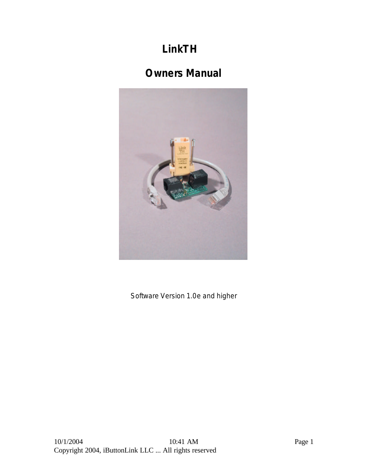# **LinkTH**

# **Owners Manual**



Software Version 1.0e and higher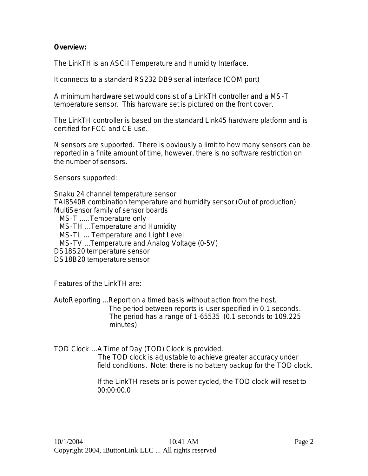# **Overview:**

The LinkTH is an ASCII Temperature and Humidity Interface.

It connects to a standard RS232 DB9 serial interface (COM port)

A minimum hardware set would consist of a LinkTH controller and a MS-T temperature sensor. This hardware set is pictured on the front cover.

The LinkTH controller is based on the standard Link45 hardware platform and is certified for FCC and CE use.

N sensors are supported. There is obviously a limit to how many sensors can be reported in a finite amount of time, however, there is no software restriction on the number of sensors.

Sensors supported:

Snaku 24 channel temperature sensor TAI8540B combination temperature and humidity sensor (Out of production) MultiSensor family of sensor boards

MS-T …… Temperature only

MS-TH … Temperature and Humidity

MS-TL … Temperature and Light Level

MS-TV … Temperature and Analog Voltage (0-5V)

DS18S20 temperature sensor

DS18B20 temperature sensor

Features of the LinkTH are:

AutoReporting … Report on a timed basis without action from the host. The period between reports is user specified in 0.1 seconds. The period has a range of 1-65535 (0.1 seconds to 109.225 minutes)

TOD Clock … A Time of Day (TOD) Clock is provided. The TOD clock is adjustable to achieve greater accuracy under field conditions. Note: there is no battery backup for the TOD clock.

> If the LinkTH resets or is power cycled, the TOD clock will reset to 00:00:00.0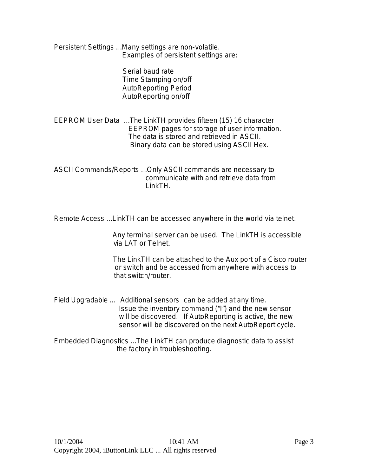Persistent Settings … Many settings are non-volatile. Examples of persistent settings are:

> Serial baud rate Time Stamping on/off AutoReporting Period AutoReporting on/off

EEPROM User Data … The LinkTH provides fifteen (15) 16 character EEPROM pages for storage of user information. The data is stored and retrieved in ASCII. Binary data can be stored using ASCII Hex.

ASCII Commands/Reports … Only ASCII commands are necessary to communicate with and retrieve data from LinkTH.

Remote Access … LinkTH can be accessed anywhere in the world via telnet.

 Any terminal server can be used. The LinkTH is accessible via LAT or Telnet.

 The LinkTH can be attached to the Aux port of a Cisco router or switch and be accessed from anywhere with access to that switch/router.

- Field Upgradable … Additional sensors can be added at any time. Issue the inventory command ("I") and the new sensor will be discovered. If AutoReporting is active, the new sensor will be discovered on the next AutoReport cycle.
- Embedded Diagnostics … The LinkTH can produce diagnostic data to assist the factory in troubleshooting.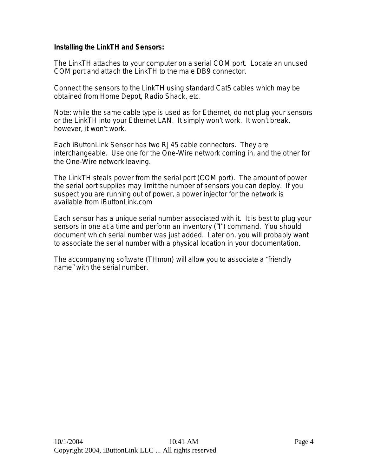# **Installing the LinkTH and Sensors:**

The LinkTH attaches to your computer on a serial COM port. Locate an unused COM port and attach the LinkTH to the male DB9 connector.

Connect the sensors to the LinkTH using standard Cat5 cables which may be obtained from Home Depot, Radio Shack, etc.

Note: while the same cable type is used as for Ethernet, do not plug your sensors or the LinkTH into your Ethernet LAN. It simply won't work. It won't break, however, it won't work.

Each iButtonLink Sensor has two RJ45 cable connectors. They are interchangeable. Use one for the One-Wire network coming in, and the other for the One-Wire network leaving.

The LinkTH steals power from the serial port (COM port). The amount of power the serial port supplies may limit the number of sensors you can deploy. If you suspect you are running out of power, a power injector for the network is available from iButtonLink.com

Each sensor has a unique serial number associated with it. It is best to plug your sensors in one at a time and perform an inventory ("I") command. You should document which serial number was just added. Later on, you will probably want to associate the serial number with a physical location in your documentation.

The accompanying software (THmon) will allow you to associate a "friendly name" with the serial number.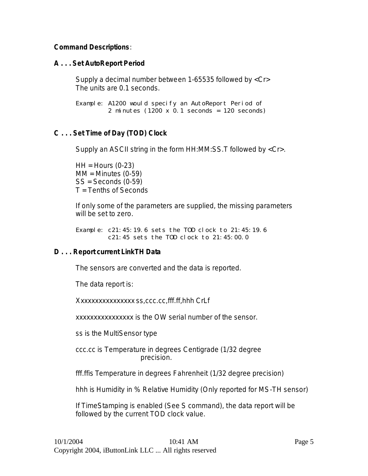# **Command Descriptions**:

# **A . . . Set AutoReport Period**

Supply a decimal number between 1-65535 followed by <Cr> The units are 0.1 seconds.

Example: A1200 would specify an AutoReport Period of 2 minutes  $(1200 \times 0.1$  seconds = 120 seconds)

# **C . . . Set Time of Day (TOD) Clock**

Supply an ASCII string in the form HH:MM:SS.T followed by <Cr>.

 $HH =$  Hours (0-23)  $MM =$  Minutes (0-59) SS = Seconds (0-59) T = Tenths of Seconds

If only some of the parameters are supplied, the missing parameters will be set to zero.

Example: c21:45:19.6 sets the TOD clock to 21:45:19.6 c21:45 sets the TOD clock to 21:45:00.0

# **D . . . Report current LinkTH Data**

The sensors are converted and the data is reported.

The data report is:

Xxxxxxxxxxxxxxxx ss,ccc.cc,fff.ff,hhh CrLf

xxxxxxxxxxxxxxxx is the OW serial number of the sensor.

ss is the MultiSensor type

ccc.cc is Temperature in degrees Centigrade (1/32 degree precision.

fff.ffis Temperature in degrees Fahrenheit (1/32 degree precision)

hhh is Humidity in % Relative Humidity (Only reported for MS-TH sensor)

If TimeStamping is enabled (See S command), the data report will be followed by the current TOD clock value.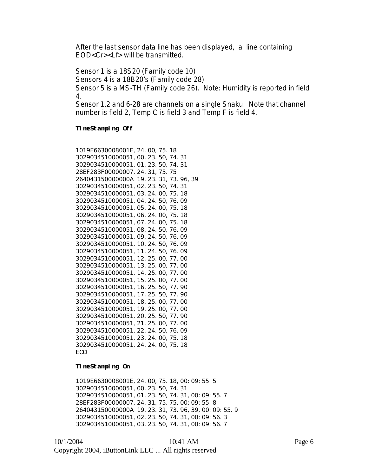After the last sensor data line has been displayed, a line containing EOD<Cr><Lf> will be transmitted.

Sensor 1 is a 18S20 (Family code 10)

Sensors 4 is a 18B20's (Family code 28)

Sensor 5 is a MS-TH (Family code 26). Note: Humidity is reported in field 4.

Sensor 1,2 and 6-28 are channels on a single Snaku. Note that channel number is field 2, Temp C is field 3 and Temp F is field 4.

#### **TimeStamping Off**

| 1019E6630008001E, 24. 00, 75. 18        |
|-----------------------------------------|
| 3029034510000051, 00, 23, 50, 74, 31    |
| 3029034510000051, 01, 23, 50, 74, 31    |
| 28EF283F00000007, 24. 31, 75. 75        |
| 264043150000000A 19, 23, 31, 73, 96, 39 |
| 3029034510000051, 02, 23, 50, 74, 31    |
| 3029034510000051, 03, 24, 00, 75, 18    |
| 3029034510000051, 04, 24, 50, 76, 09    |
| 3029034510000051, 05, 24, 00, 75, 18    |
| 3029034510000051, 06, 24. 00, 75. 18    |
| 3029034510000051, 07, 24, 00, 75, 18    |
| 3029034510000051, 08, 24, 50, 76, 09    |
| 3029034510000051, 09, 24, 50, 76, 09    |
| 3029034510000051, 10, 24, 50, 76, 09    |
| 3029034510000051, 11, 24, 50, 76, 09    |
| 3029034510000051, 12, 25. 00, 77. 00    |
| 3029034510000051, 13, 25, 00, 77, 00    |
| 3029034510000051, 14, 25, 00, 77, 00    |
| 3029034510000051, 15, 25, 00, 77, 00    |
| 3029034510000051, 16, 25, 50, 77, 90    |
| 3029034510000051, 17, 25, 50, 77, 90    |
| 3029034510000051, 18, 25, 00, 77, 00    |
| 3029034510000051, 19, 25, 00, 77, 00    |
| 3029034510000051, 20, 25, 50, 77, 90    |
| 3029034510000051, 21, 25, 00, 77, 00    |
| 3029034510000051, 22, 24, 50, 76, 09    |
| 3029034510000051, 23, 24, 00, 75, 18    |
| 3029034510000051, 24, 24, 00, 75, 18    |
| <b>EOD</b>                              |

#### **TimeStamping On**

1019E6630008001E,24.00,75.18,00:09:55.5 3029034510000051,00,23.50,74.31 3029034510000051,01,23.50,74.31,00:09:55.7 28EF283F00000007,24.31,75.75,00:09:55.8 264043150000000A 19,23.31,73.96,39,00:09:55.9 3029034510000051,02,23.50,74.31,00:09:56.3 3029034510000051,03,23.50,74.31,00:09:56.7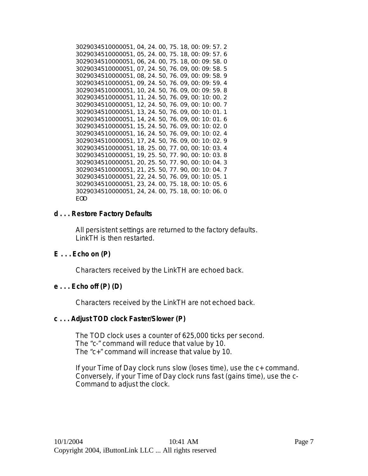3029034510000051,04,24.00,75.18,00:09:57.2 3029034510000051,05,24.00,75.18,00:09:57.6 3029034510000051,06,24.00,75.18,00:09:58.0 3029034510000051,07,24.50,76.09,00:09:58.5 3029034510000051,08,24.50,76.09,00:09:58.9 3029034510000051,09,24.50,76.09,00:09:59.4 3029034510000051,10,24.50,76.09,00:09:59.8 3029034510000051,11,24.50,76.09,00:10:00.2 3029034510000051,12,24.50,76.09,00:10:00.7 3029034510000051,13,24.50,76.09,00:10:01.1 3029034510000051,14,24.50,76.09,00:10:01.6 3029034510000051,15,24.50,76.09,00:10:02.0 3029034510000051,16,24.50,76.09,00:10:02.4 3029034510000051,17,24.50,76.09,00:10:02.9 3029034510000051,18,25.00,77.00,00:10:03.4 3029034510000051,19,25.50,77.90,00:10:03.8 3029034510000051,20,25.50,77.90,00:10:04.3 3029034510000051,21,25.50,77.90,00:10:04.7 3029034510000051,22,24.50,76.09,00:10:05.1 3029034510000051,23,24.00,75.18,00:10:05.6 3029034510000051,24,24.00,75.18,00:10:06.0 EOD

# **d . . . Restore Factory Defaults**

All persistent settings are returned to the factory defaults. LinkTH is then restarted.

# **E . . . Echo on (P)**

Characters received by the LinkTH are echoed back.

# **e . . . Echo off (P) (D)**

Characters received by the LinkTH are not echoed back.

# **c . . . Adjust TOD clock Faster/Slower (P)**

The TOD clock uses a counter of 625,000 ticks per second. The "c-" command will reduce that value by 10. The "c+" command will increase that value by 10.

If your Time of Day clock runs slow (loses time), use the c+ command. Conversely, if your Time of Day clock runs fast (gains time), use the c-Command to adjust the clock.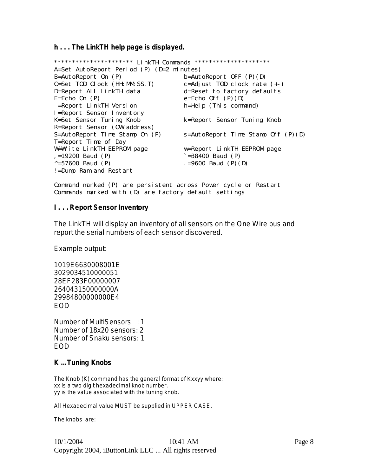**h . . . The LinkTH help page is displayed.**

| *********************** LinkTH Commands       | *********************                    |
|-----------------------------------------------|------------------------------------------|
| A=Set AutoReport Period (P) (D=2 minutes)     |                                          |
| $B = AutoReport$ On $(P)$                     | $b = AutoReport$ OFF $(P)$ $(D)$         |
| $C = Set$ TOD $C = C \cdot K$ (HH: MM: SS. T) | c=Adjust T0D clock rate $(+)$            |
| D=Report ALL LinkTH data                      | d=Reset to factory defaults              |
| $E=Echo$ On $(P)$                             | $e=Echo$ Off $(P)(D)$                    |
| =Report LinkTH Version                        | $h = Help$ (This command)                |
| I=Report Sensor Inventory                     |                                          |
| K=Set Sensor Tuning Knob                      | k=Report Sensor Tuning Knob              |
| R=Report Sensor (OW address)                  |                                          |
| S=AutoReport Time Stamp On (P)                | $s = AutoReport$ Time Stamp Off $(P)(D)$ |
| T=Report Time of Day                          |                                          |
| W=Write LinkTH EEPROM page                    | w=Report LinkTH EEPROM page              |
| $, =19200$ Baud (P)                           | $= 38400$ Baud (P)                       |
| $\sim$ =57600 Baud (P)                        | . =9600 Baud $(P)$ (D)                   |
| !=Dump Ram and Restart                        |                                          |

Command marked (P) are persistent across Power cycle or Restart Commands marked with (D) are factory default settings

#### **I . . . Report Sensor Inventory**

The LinkTH will display an inventory of all sensors on the One Wire bus and report the serial numbers of each sensor discovered.

Example output:

1019E6630008001E 3029034510000051 28EF283F00000007 264043150000000A 29984800000000E4 EOD

Number of MultiSensors : 1 Number of 18x20 sensors: 2 Number of Snaku sensors: 1 EOD

# **K … Tuning Knobs**

The Knob (K) command has the general format of Kxxyy where: xx is a two digit hexadecimal knob number. yy is the value associated with the tuning knob.

All Hexadecimal value MUST be supplied in UPPER CASE.

The knobs are: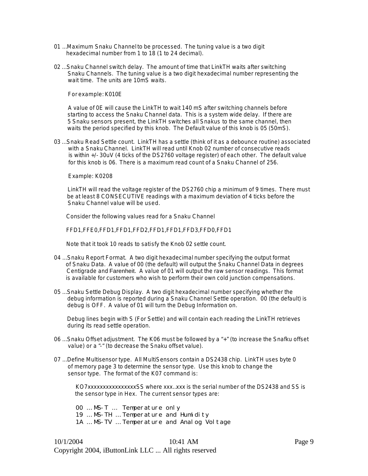- 01 … Maximum Snaku Channel to be processed. The tuning value is a two digit hexadecimal number from 1 to 18 (1 to 24 decimal).
- 02 … Snaku Channel switch delay. The amount of time that LinkTH waits after switching Snaku Channels. The tuning value is a two digit hexadecimal number representing the wait time. The units are 10mS waits.

For example: K010E

 A value of 0E will cause the LinkTH to wait 140 mS after switching channels before starting to access the Snaku Channel data. This is a system wide delay. If there are 5 Snaku sensors present, the LinkTH switches all Snakus to the same channel, then waits the period specified by this knob. The Default value of this knob is 05 (50mS).

03 … Snaku Read Settle count. LinkTH has a settle (think of it as a debounce routine) associated with a Snaku Channel. LinkTH will read until Knob 02 number of consecutive reads is within +/- 30uV (4 ticks of the DS2760 voltage register) of each other. The default value for this knob is 06. There is a maximum read count of a Snaku Channel of 256.

Example: K0208

 LinkTH will read the voltage register of the DS2760 chip a minimum of 9 times. There must be at least 8 CONSECUTIVE readings with a maximum deviation of 4 ticks before the Snaku Channel value will be used.

Consider the following values read for a Snaku Channel

FFD1,FFE0,FFD1,FFD1,FFD2,FFD1,FFD1,FFD3,FFD0,FFD1

Note that it took 10 reads to satisfy the Knob 02 settle count.

- 04 … Snaku Report Format. A two digit hexadecimal number specifying the output format of Snaku Data. A value of 00 (the default) will output the Snaku Channel Data in degrees Centigrade and Farenheit. A value of 01 will output the raw sensor readings. This format is available for customers who wish to perform their own cold junction compensations.
- 05 … Snaku Settle Debug Display. A two digit hexadecimal number specifying whether the debug information is reported during a Snaku Channel Settle operation. 00 (the default) is debug is OFF. A value of 01 will turn the Debug Information on.

 Debug lines begin with S (For Settle) and will contain each reading the LinkTH retrieves during its read settle operation.

- 06 … Snaku Offset adjustment. The K06 must be followed by a "+" (to increase the Snafku offset value) or a "-" (to decrease the Snaku offset value).
- 07 … Define Multisensor type. All MultiSensors contain a DS2438 chip. LinkTH uses byte 0 of memory page 3 to determine the sensor type. Use this knob to change the sensor type. The format of the K07 command is:

KO7xxxxxxxxxxxxxxxxSS where xxx…xxx is the serial number of the DS2438 and SS is the sensor type in Hex. The current sensor types are:

00 … MS-T … Temperature only

19 … MS-TH … Temperature and Humidity

1A … MS-TV … Temperature and Analog Voltage

10/1/2004 Page 9 Copyright 2004, iButtonLink LLC ... All rights reserved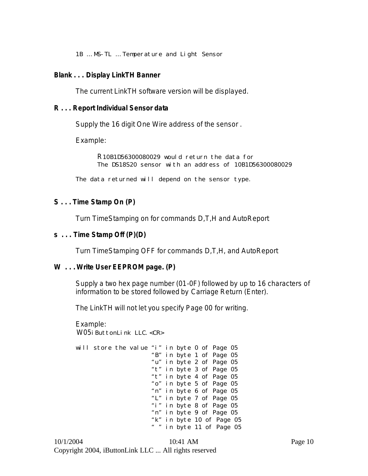1B … MS-TL … Temperature and Light Sensor

#### **Blank . . . Display LinkTH Banner**

The current LinkTH software version will be displayed.

### **R . . . Report Individual Sensor data**

Supply the 16 digit One Wire address of the sensor .

Example:

R10B1D56300080029 would return the data for The DS18S20 sensor with an address of 10B1D56300080029

The data returned will depend on the sensor type.

# **S . . . Time Stamp On (P)**

Turn TimeStamping on for commands D,T,H and AutoReport

#### **s . . . Time Stamp Off (P)(D)**

Turn TimeStamping OFF for commands D,T,H, and AutoReport

# **W . . . Write User EEPROM page. (P)**

Supply a two hex page number (01-0F) followed by up to 16 characters of information to be stored followed by Carriage Return (Enter).

The LinkTH will not let you specify Page 00 for writing.

Example: W05i ButtonLink LLC. <CR>

| will store the value "i" in byte 0 of Page 05 |  |  |                           |  |  |
|-----------------------------------------------|--|--|---------------------------|--|--|
|                                               |  |  | "B" in byte 1 of Page 05  |  |  |
|                                               |  |  | "u" in byte 2 of Page 05  |  |  |
|                                               |  |  | "t" in byte 3 of Page 05  |  |  |
|                                               |  |  | "t" in byte 4 of Page 05  |  |  |
|                                               |  |  | "o" in byte 5 of Page 05  |  |  |
|                                               |  |  | "n" in byte 6 of Page 05  |  |  |
|                                               |  |  | "L" in byte 7 of Page 05  |  |  |
|                                               |  |  | "i" in byte 8 of Page 05  |  |  |
|                                               |  |  | "n" in byte 9 of Page 05  |  |  |
|                                               |  |  | "k" in byte 10 of Page 05 |  |  |
|                                               |  |  | " " in byte 11 of Page 05 |  |  |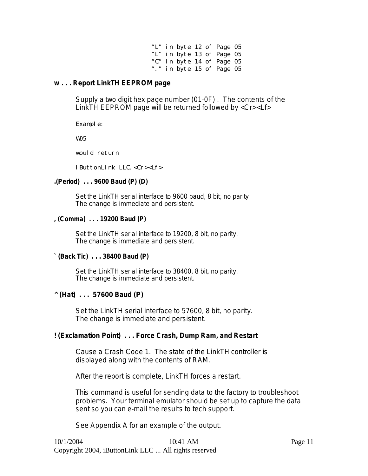|  |  | "L" in byte 12 of Page 05 |  |
|--|--|---------------------------|--|
|  |  | "L" in byte 13 of Page 05 |  |
|  |  | "C" in byte 14 of Page 05 |  |
|  |  | "." in byte 15 of Page 05 |  |

#### **w . . . Report LinkTH EEPROM page**

Supply a two digit hex page number (01-0F) . The contents of the LinkTH EEPROM page will be returned followed by <Cr><Lf>

Example:

W05

would return

i ButtonLink LLC. < $Cr$  >< $Lf$ >>

### **.(Period) . . . 9600 Baud (P) (D)**

Set the LinkTH serial interface to 9600 baud, 8 bit, no parity The change is immediate and persistent.

#### **, (Comma) . . . 19200 Baud (P)**

Set the LinkTH serial interface to 19200, 8 bit, no parity. The change is immediate and persistent.

# **` (Back Tic) . . . 38400 Baud (P)**

Set the LinkTH serial interface to 38400, 8 bit, no parity. The change is immediate and persistent.

# **^ (Hat) . . . 57600 Baud (P)**

Set the LinkTH serial interface to 57600, 8 bit, no parity. The change is immediate and persistent.

# **! (Exclamation Point) . . . Force Crash, Dump Ram, and Restart**

Cause a Crash Code 1. The state of the LinkTH controller is displayed along with the contents of RAM.

After the report is complete, LinkTH forces a restart.

This command is useful for sending data to the factory to troubleshoot problems. Your terminal emulator should be set up to capture the data sent so you can e-mail the results to tech support.

See Appendix A for an example of the output.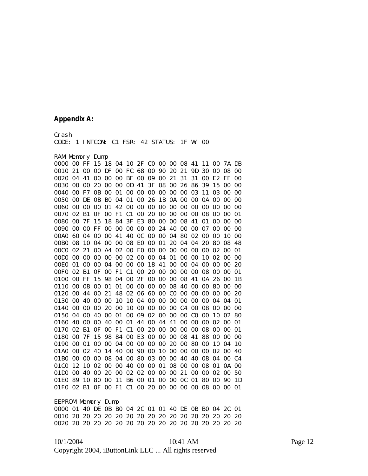#### **Appendix A:**

Crash CODE: 1 INTCON: C1 FSR: 42 STATUS: 1F W: 00

#### RAM Memory Dump

EEPROM Memory Dump 0000 01 40 DE 0B B0 04 2C 01 01 40 DE 0B B0 04 2C 01 0010 20 20 20 20 20 20 20 20 20 20 20 20 20 20 20 20 0020 20 20 20 20 20 20 20 20 20 20 20 20 20 20 20 20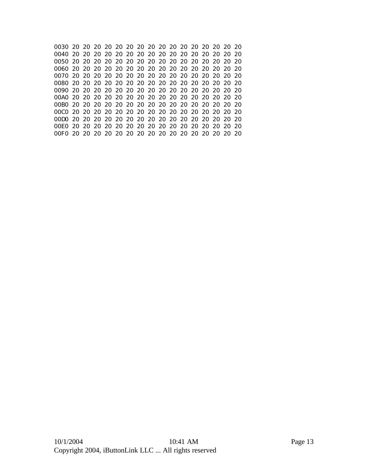0030 20 20 20 20 20 20 20 20 20 20 20 20 20 20 20 20 0040 20 20 20 20 20 20 20 20 20 20 20 20 20 20 20 20 0050 20 20 20 20 20 20 20 20 20 20 20 20 20 20 20 20 0060 20 20 20 20 20 20 20 20 20 20 20 20 20 20 20 20 0070 20 20 20 20 20 20 20 20 20 20 20 20 20 20 20 20 0080 20 20 20 20 20 20 20 20 20 20 20 20 20 20 20 20 0090 20 20 20 20 20 20 20 20 20 20 20 20 20 20 20 20 00A0 20 20 20 20 20 20 20 20 20 20 20 20 20 20 20 20 00B0 20 20 20 20 20 20 20 20 20 20 20 20 20 20 20 20 00C0 20 20 20 20 20 20 20 20 20 20 20 20 20 20 20 20 00D0 20 20 20 20 20 20 20 20 20 20 20 20 20 20 20 20 00E0 20 20 20 20 20 20 20 20 20 20 20 20 20 20 20 20 00F0 20 20 20 20 20 20 20 20 20 20 20 20 20 20 20 20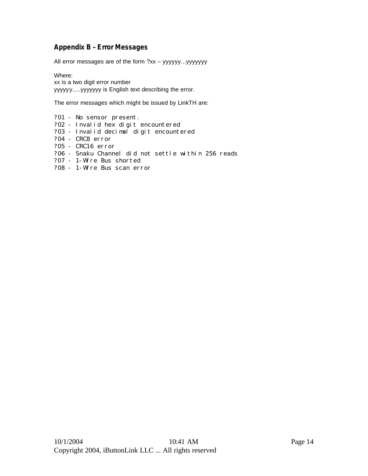# **Appendix B – Error Messages**

All error messages are of the form ?xx – yyyyyy...yyyyyyy

Where:

xx is a two digit error number yyyyyy.....yyyyyyy is English text describing the error.

The error messages which might be issued by LinkTH are:

- ?01 No sensor present.
- ?02 Invalid hex digit encountered
- ?03 Invalid decimal digit encountered
- ?04 CRC8 error
- ?05 CRC16 error
- ?06 Snaku Channel did not settle within 256 reads
- ?07 1-Wire Bus shorted
- ?08 1-Wire Bus scan error